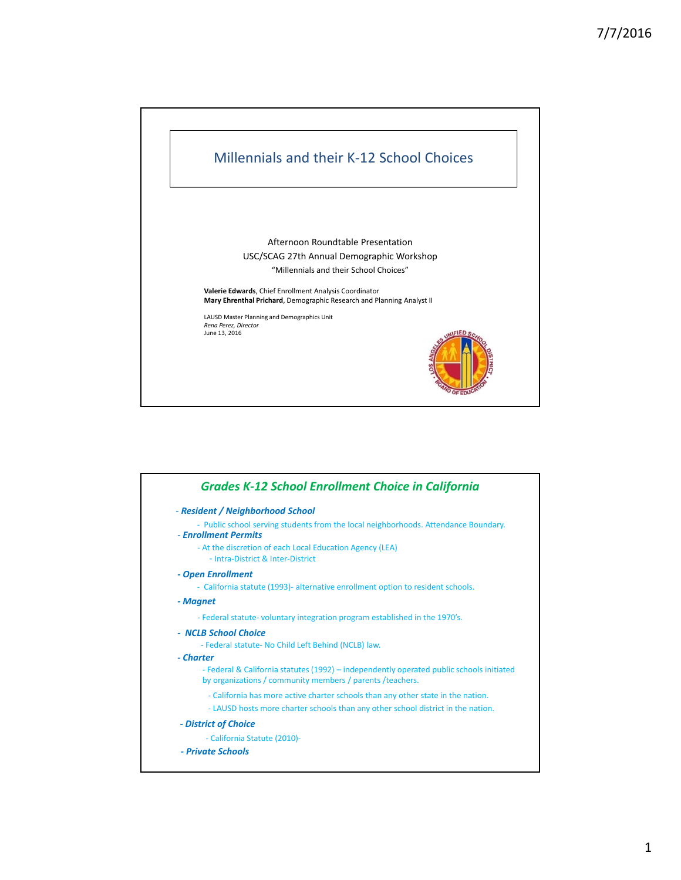

| - Resident / Neighborhood School                                                                                                                       |
|--------------------------------------------------------------------------------------------------------------------------------------------------------|
| - Public school serving students from the local neighborhoods. Attendance Boundary.<br>- Enrollment Permits                                            |
| - At the discretion of each Local Education Agency (LEA)<br>- Intra-District & Inter-District                                                          |
| - Open Enrollment                                                                                                                                      |
| - California statute (1993)- alternative enrollment option to resident schools.                                                                        |
| - Magnet                                                                                                                                               |
| - Federal statute- voluntary integration program established in the 1970's.                                                                            |
| - NCLB School Choice<br>- Federal statute- No Child Left Behind (NCLB) law.                                                                            |
| - Charter                                                                                                                                              |
| - Federal & California statutes (1992) – independently operated public schools initiated<br>by organizations / community members / parents / teachers. |
| - California has more active charter schools than any other state in the nation.                                                                       |
| - LAUSD hosts more charter schools than any other school district in the nation.                                                                       |
| - District of Choice                                                                                                                                   |
| - California Statute (2010)-                                                                                                                           |
| - Private Schools                                                                                                                                      |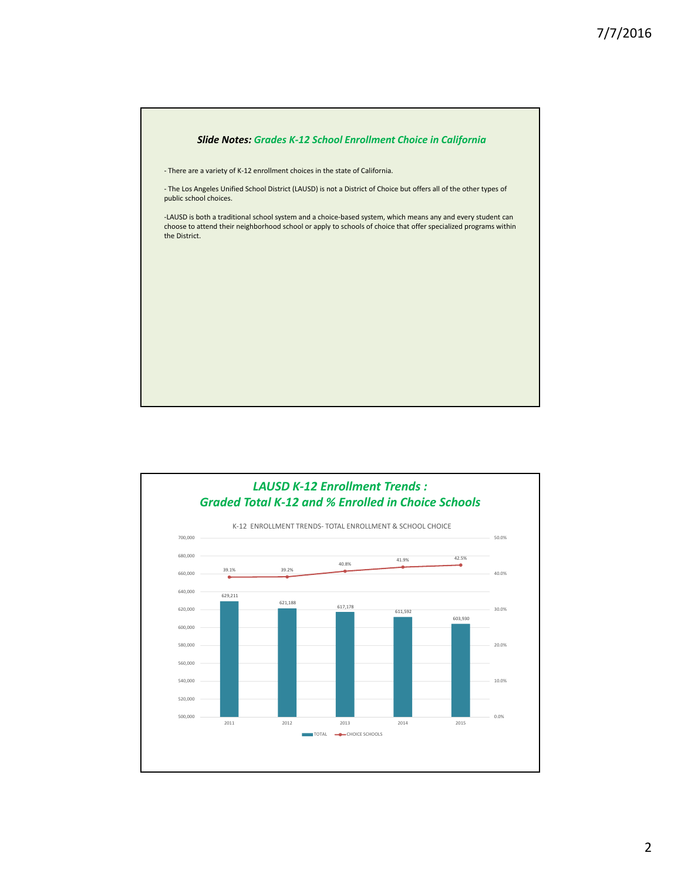

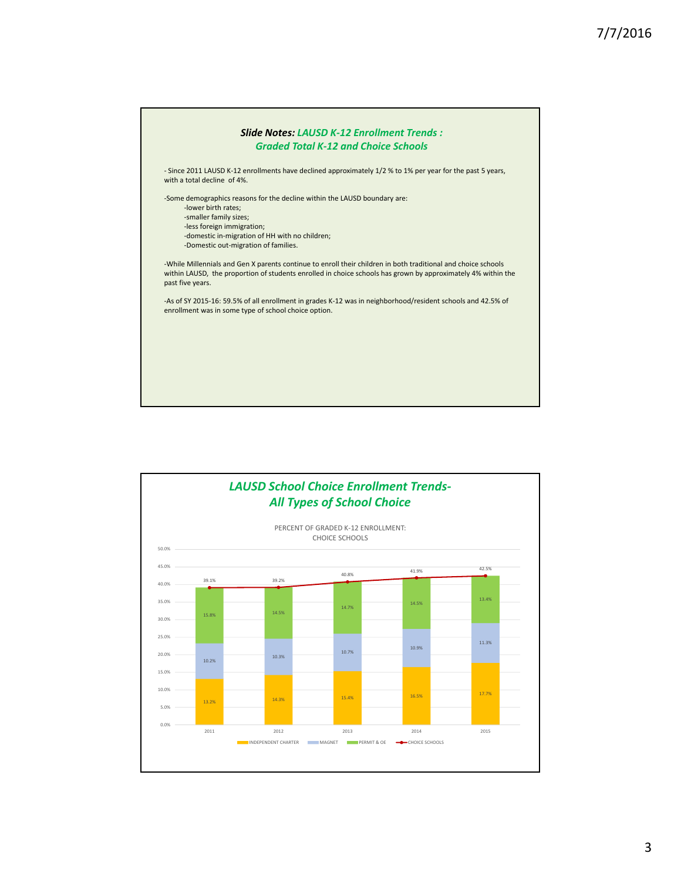

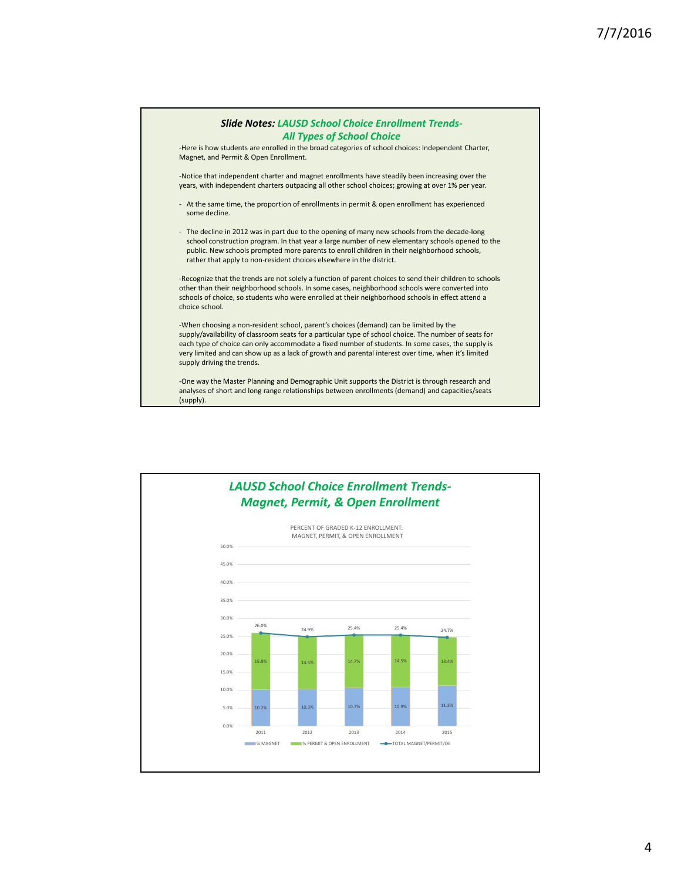

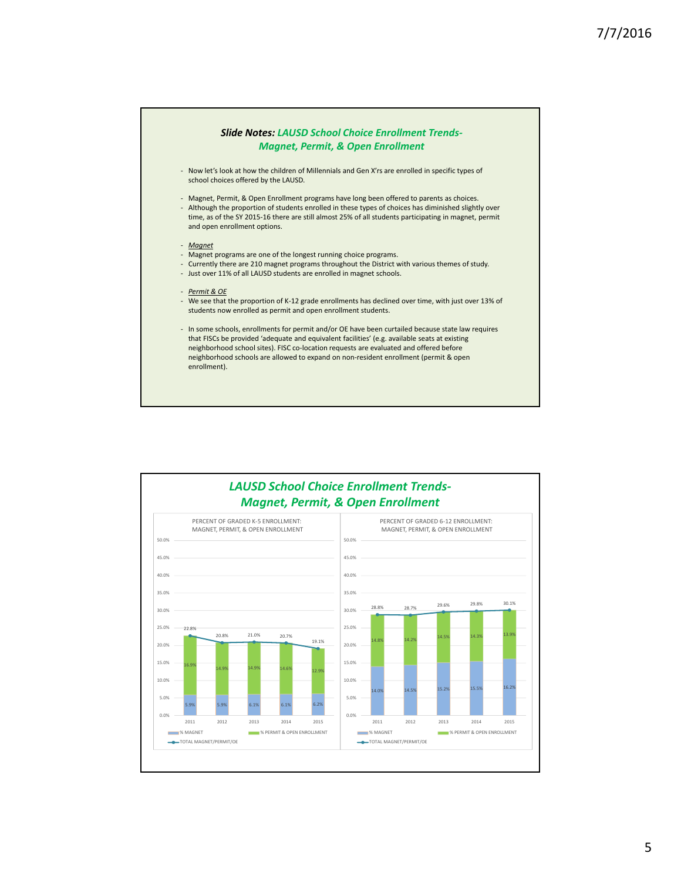

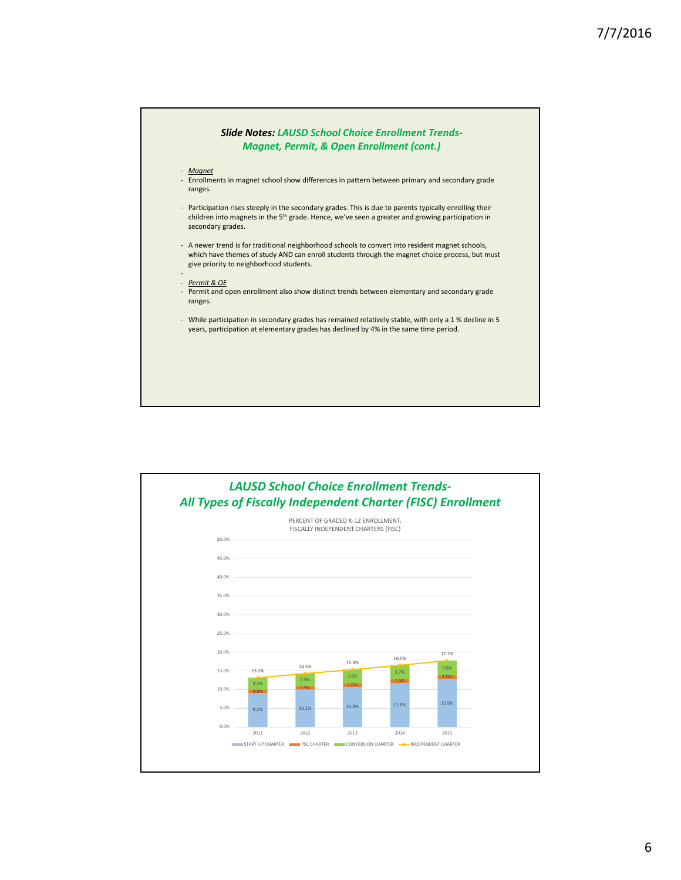

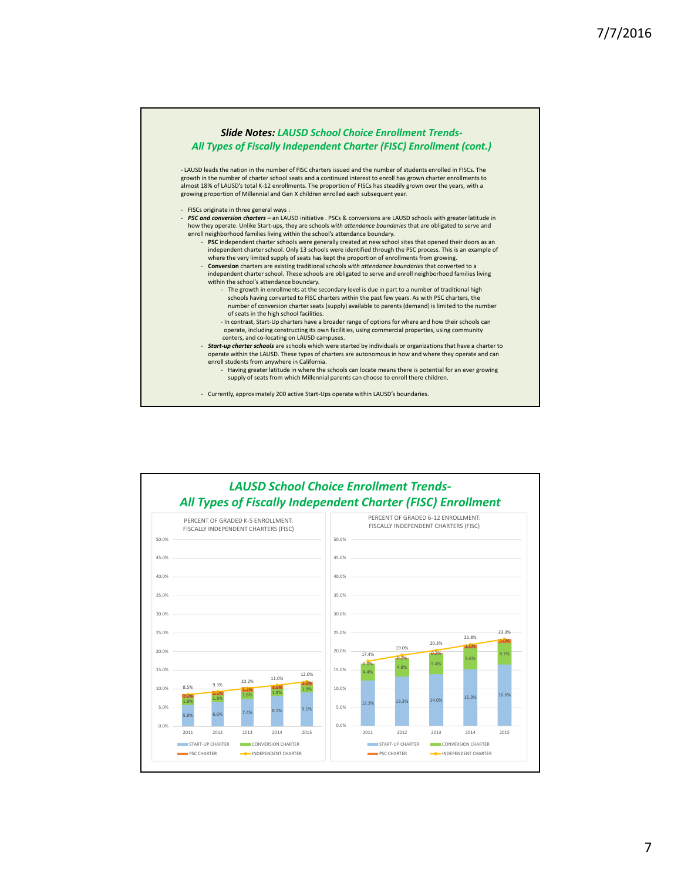